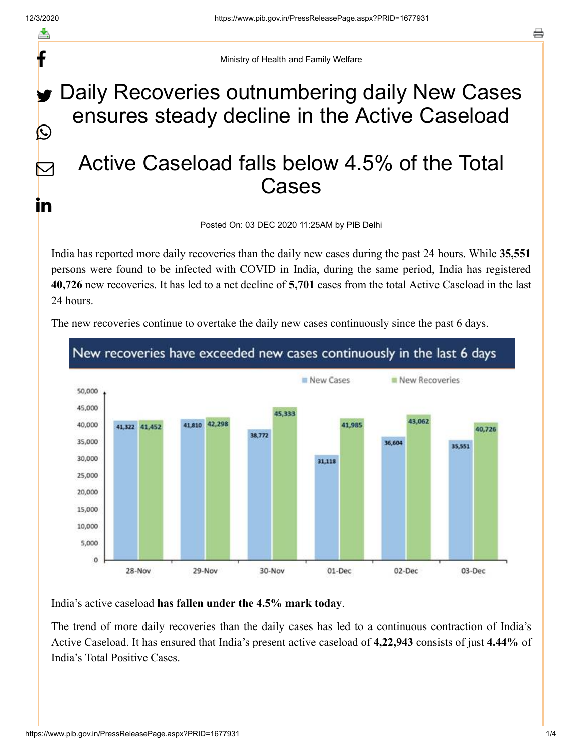f

y.

 $\bigcirc$ 

 $\bm{\nabla}$ 

<u>in</u>

Ministry of Health and Family Welfare

## Daily Recoveries outnumbering daily New Cases ensures steady decline in the Active Caseload

## Active Caseload falls below 4.5% of the Total Cases

Posted On: 03 DEC 2020 11:25AM by PIB Delhi

India has reported more daily recoveries than the daily new cases during the past 24 hours. While **35,551** persons were found to be infected with COVID in India, during the same period, India has registered **40,726** new recoveries. It has led to a net decline of **5,701** cases from the total Active Caseload in the last 24 hours.

The new recoveries continue to overtake the daily new cases continuously since the past 6 days.



India's active caseload **has fallen under the 4.5% mark today**.

The trend of more daily recoveries than the daily cases has led to a continuous contraction of India's Active Caseload. It has ensured that India's present active caseload of **4,22,943** consists of just **4.44%** of India's Total Positive Cases.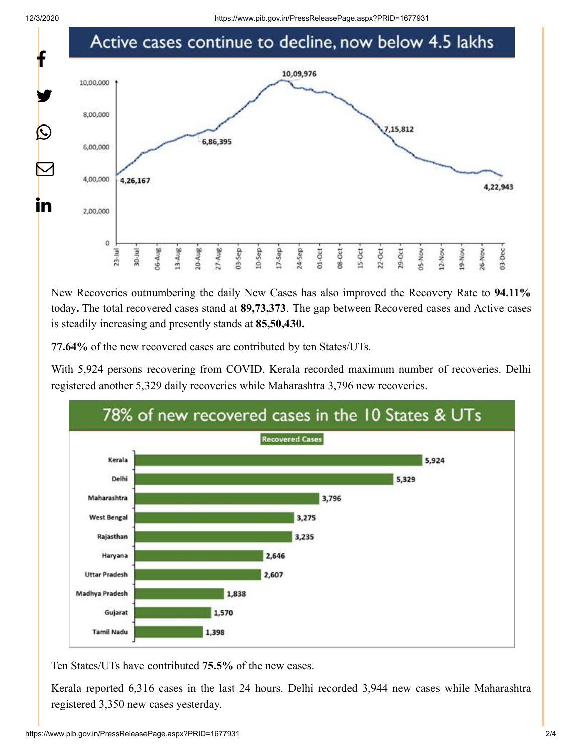

New Recoveries outnumbering the daily New Cases has also improved the Recovery Rate to **94.11%** today**.** The total recovered cases stand at **89,73,373**. The gap between Recovered cases and Active cases is steadily increasing and presently stands at **85,50,430.**

**77.64%** of the new recovered cases are contributed by ten States/UTs.

With 5,924 persons recovering from COVID, Kerala recorded maximum number of recoveries. Delhi registered another 5,329 daily recoveries while Maharashtra 3,796 new recoveries.



Ten States/UTs have contributed **75.5%** of the new cases.

Kerala reported 6,316 cases in the last 24 hours. Delhi recorded 3,944 new cases while Maharashtra registered 3,350 new cases yesterday.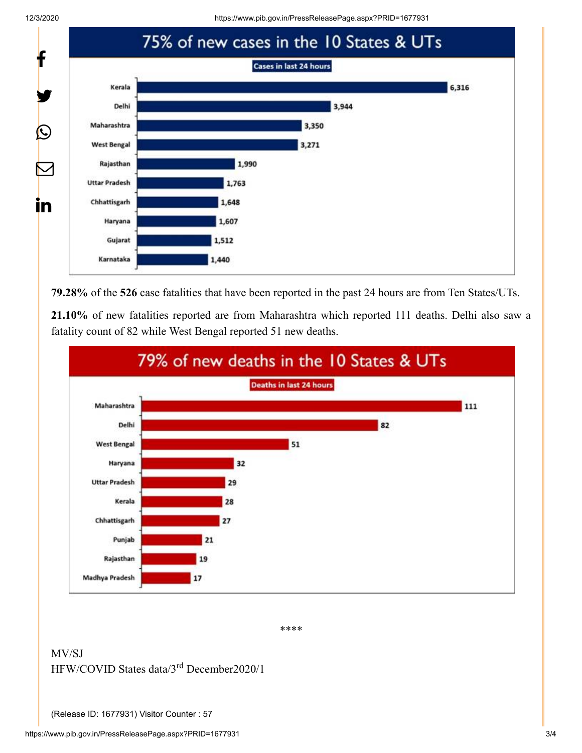12/3/2020 https://www.pib.gov.in/PressReleasePage.aspx?PRID=1677931



**79.28%** of the **526** case fatalities that have been reported in the past 24 hours are from Ten States/UTs.

**21.10%** of new fatalities reported are from Maharashtra which reported 111 deaths. Delhi also saw a fatality count of 82 while West Bengal reported 51 new deaths.



\*\*\*\*